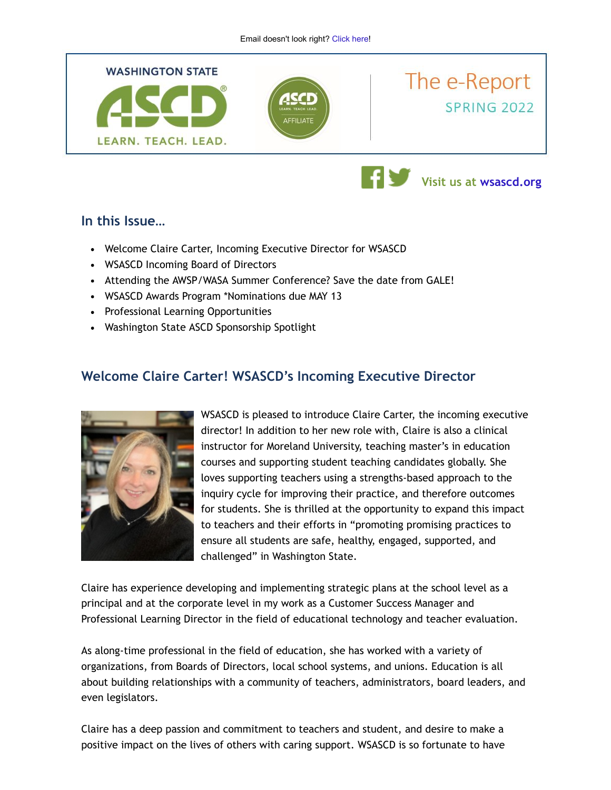

### **In this Issue…**

- Welcome Claire Carter, Incoming Executive Director for WSASCD
- WSASCD Incoming Board of Directors
- Attending the AWSP/WASA Summer Conference? Save the date from GALE!
- WSASCD Awards Program \*Nominations due MAY 13
- Professional Learning Opportunities
- Washington State ASCD Sponsorship Spotlight

# **Welcome Claire Carter! WSASCD's Incoming Executive Director**



WSASCD is pleased to introduce Claire Carter, the incoming executive director! In addition to her new role with, Claire is also a clinical instructor for Moreland University, teaching master's in education courses and supporting student teaching candidates globally. She loves supporting teachers using a strengths-based approach to the inquiry cycle for improving their practice, and therefore outcomes for students. She is thrilled at the opportunity to expand this impact to teachers and their efforts in "promoting promising practices to ensure all students are safe, healthy, engaged, supported, and challenged" in Washington State.

Claire has experience developing and implementing strategic plans at the school level as a principal and at the corporate level in my work as a Customer Success Manager and Professional Learning Director in the field of educational technology and teacher evaluation.

As along-time professional in the field of education, she has worked with a variety of organizations, from Boards of Directors, local school systems, and unions. Education is all about building relationships with a community of teachers, administrators, board leaders, and even legislators.

Claire has a deep passion and commitment to teachers and student, and desire to make a positive impact on the lives of others with caring support. WSASCD is so fortunate to have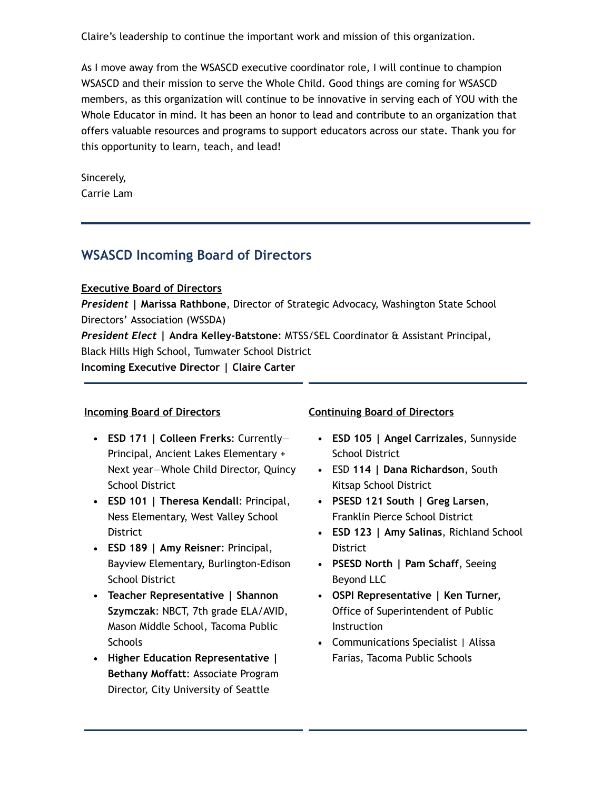Claire's leadership to continue the important work and mission of this organization.

As I move away from the WSASCD executive coordinator role, I will continue to champion WSASCD and their mission to serve the Whole Child. Good things are coming for WSASCD members, as this organization will continue to be innovative in serving each of YOU with the Whole Educator in mind. It has been an honor to lead and contribute to an organization that offers valuable resources and programs to support educators across our state. Thank you for this opportunity to learn, teach, and lead!

Sincerely, Carrie Lam

# **WSASCD Incoming Board of Directors**

#### **Executive Board of Directors**

*President* **| Marissa Rathbone**, Director of Strategic Advocacy, Washington State School Directors' Association (WSSDA)

*President Elect* **| Andra Kelley-Batstone**: MTSS/SEL Coordinator & Assistant Principal, Black Hills High School, Tumwater School District **Incoming Executive Director | Claire Carter**

#### **Incoming Board of Directors**

- **ESD 171 | Colleen Frerks**: Currently— Principal, Ancient Lakes Elementary + Next year—Whole Child Director, Quincy School District
- **ESD 101 | Theresa Kendall**: Principal, Ness Elementary, West Valley School District
- **ESD 189 | Amy Reisner**: Principal, Bayview Elementary, Burlington-Edison School District
- **Teacher Representative | Shannon Szymczak**: NBCT, 7th grade ELA/AVID, Mason Middle School, Tacoma Public **Schools**
- **Higher Education Representative | Bethany Moffatt**: Associate Program Director, City University of Seattle

#### **Continuing Board of Directors**

- **ESD 105 | Angel Carrizales**, Sunnyside School District
- ESD **114 | Dana Richardson**, South Kitsap School District
- **PSESD 121 South | Greg Larsen**, Franklin Pierce School District
- **ESD 123 | Amy Salinas**, Richland School District
- **PSESD North | Pam Schaff**, Seeing Beyond LLC
- **OSPI Representative | Ken Turner,** Office of Superintendent of Public Instruction
- Communications Specialist | Alissa Farias, Tacoma Public Schools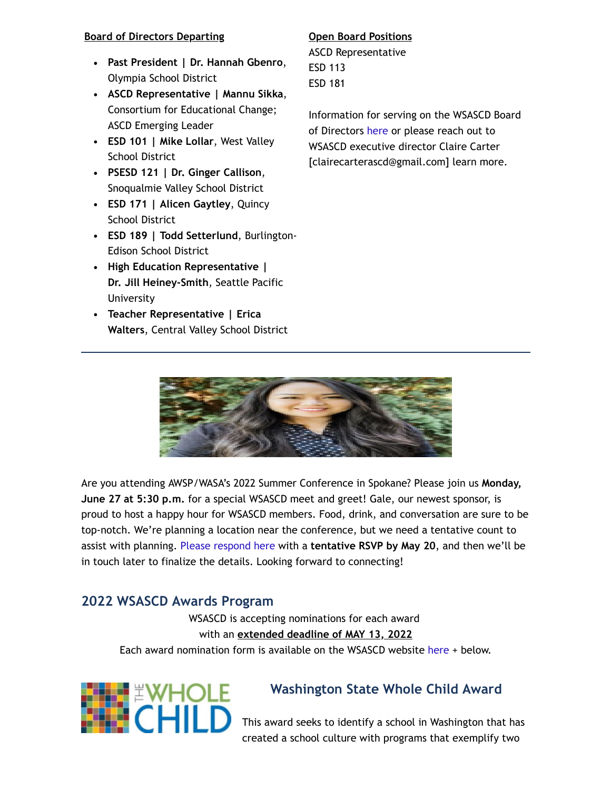#### **Board of Directors Departing**

- **Past President | Dr. Hannah Gbenro**, Olympia School District
- **ASCD Representative | Mannu Sikka**, Consortium for Educational Change; ASCD Emerging Leader
- **ESD 101 | Mike Lollar**, West Valley School District
- **PSESD 121 | Dr. Ginger Callison**, Snoqualmie Valley School District
- **ESD 171 | Alicen Gaytley**, Quincy School District
- **ESD 189 | Todd Setterlund**, Burlington-Edison School District
- **High Education Representative | Dr. Jill Heiney-Smith**, Seattle Pacific University
- **Teacher Representative | Erica Walters**, Central Valley School District

#### **Open Board Positions**

ASCD Representative ESD 113 ESD 181

Information for serving on the WSASCD Board of Directors [here](https://wsascd.org/wp-content/uploads/WSASCD-Board-Member-Responsibilities-Q-A_2022.pdf) or please reach out to WSASCD executive director Claire Carter [clairecarterascd@gmail.com] learn more.



Are you attending AWSP/WASA's 2022 Summer Conference in Spokane? Please join us **Monday, June 27 at 5:30 p.m.** for a special WSASCD meet and greet! Gale, our newest sponsor, is proud to host a happy hour for WSASCD members. Food, drink, and conversation are sure to be top-notch. We're planning a location near the conference, but we need a tentative count to assist with planning. [Please respond here](https://forms.gle/iRjgiBshURAye9iu6) with a **tentative RSVP by May 20**, and then we'll be in touch later to finalize the details. Looking forward to connecting!

# **2022 WSASCD Awards Program**

WSASCD is accepting nominations for each award with an **extended deadline of MAY 13, 2022** Each award nomination form is available on the WSASCD website [here](http://wsascd.org/awards-overview/) + below.



# **Washington State Whole Child Award**

This award seeks to identify a school in Washington that has created a school culture with programs that exemplify two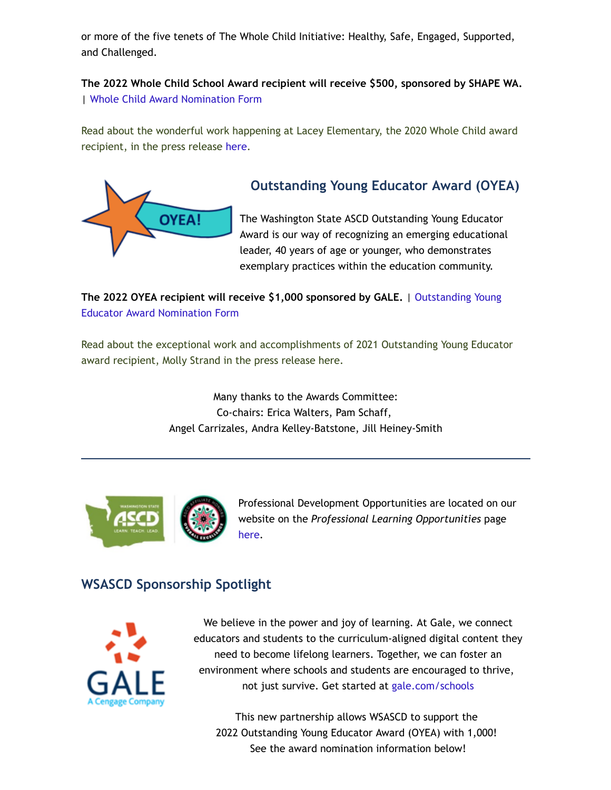or more of the five tenets of The Whole Child Initiative: Healthy, Safe, Engaged, Supported, and Challenged.

**The 2022 Whole Child School Award recipient will receive \$500, sponsored by SHAPE WA.** | [Whole Child Award Nomination Form](https://forms.gle/pY6xDJj2iNq181tu7)

Read about the wonderful work happening at Lacey Elementary, the 2020 Whole Child award recipient, in the press release [here](http://wsascd.org/wp-content/uploads/Lacey-Elementary-School-2020-WC-Press-Release-Draft.pdf).



# **Outstanding Young Educator Award (OYEA)**

The Washington State ASCD Outstanding Young Educator Award is our way of recognizing an emerging educational leader, 40 years of age or younger, who demonstrates exemplary practices within the education community.

**[The 2022 OYEA recipient will receive \\$1,000 sponsored by GALE.](https://forms.gle/aEP8FibS8xQCZsr89)** | Outstanding Young Educator Award Nomination Form

Read about the exceptional work and accomplishments of 2021 Outstanding Young Educator award recipient, Molly Strand in the press release here.

> Many thanks to the Awards Committee: Co-chairs: Erica Walters, Pam Schaff, Angel Carrizales, Andra Kelley-Batstone, Jill Heiney-Smith



Professional Development Opportunities are located on our website on the *Professional Learning Opportunities* page [here](https://wsascd.org/workshops-and-conferences/).

# **WSASCD Sponsorship Spotlight**



We believe in the power and joy of learning. At Gale, we connect educators and students to the curriculum-aligned digital content they need to become lifelong learners. Together, we can foster an environment where schools and students are encouraged to thrive, not just survive. Get started at [gale.com/schools](https://www.gale.com/schools)

This new partnership allows WSASCD to support the 2022 Outstanding Young Educator Award (OYEA) with 1,000! See the award nomination information below!